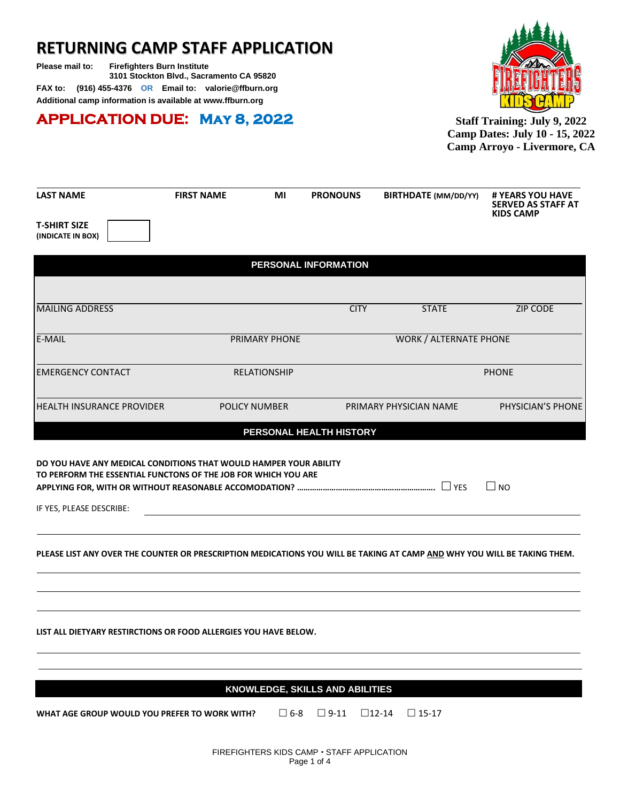# **RETURNING CAMP STAFF APPLICATION**

**Please mail to: Firefighters Burn Institute 3101 Stockton Blvd., Sacramento CA 95820 FAX to: (916) 455-4376 OR Email to: valorie@ffburn.org Additional camp information is available at [www.ffburn.org](http://www.ffburn.org/)**

## **APPLICATION DUE: May 8, 2022**



**Staff Training: July 9, 2022 Camp Dates: July 10 - 15, 2022 Camp Arroyo - Livermore, CA**

| <b>LAST NAME</b>                                                                                                                    | <b>FIRST NAME</b> | ΜI                   | <b>PRONOUNS</b>                 | <b>BIRTHDATE</b> (MM/DD/YY)     | # YEARS YOU HAVE<br><b>SERVED AS STAFF AT</b><br><b>KIDS CAMP</b> |
|-------------------------------------------------------------------------------------------------------------------------------------|-------------------|----------------------|---------------------------------|---------------------------------|-------------------------------------------------------------------|
| <b>T-SHIRT SIZE</b><br>(INDICATE IN BOX)                                                                                            |                   |                      |                                 |                                 |                                                                   |
|                                                                                                                                     |                   |                      | PERSONAL INFORMATION            |                                 |                                                                   |
|                                                                                                                                     |                   |                      |                                 |                                 |                                                                   |
| <b>MAILING ADDRESS</b>                                                                                                              |                   |                      | <b>CITY</b>                     | <b>STATE</b>                    | <b>ZIP CODE</b>                                                   |
| E-MAIL                                                                                                                              |                   | PRIMARY PHONE        |                                 | <b>WORK / ALTERNATE PHONE</b>   |                                                                   |
| <b>EMERGENCY CONTACT</b>                                                                                                            |                   | <b>RELATIONSHIP</b>  |                                 |                                 | <b>PHONE</b>                                                      |
| <b>HEALTH INSURANCE PROVIDER</b>                                                                                                    |                   | <b>POLICY NUMBER</b> |                                 | PRIMARY PHYSICIAN NAME          | PHYSICIAN'S PHONE                                                 |
|                                                                                                                                     |                   |                      | PERSONAL HEALTH HISTORY         |                                 |                                                                   |
| DO YOU HAVE ANY MEDICAL CONDITIONS THAT WOULD HAMPER YOUR ABILITY<br>TO PERFORM THE ESSENTIAL FUNCTONS OF THE JOB FOR WHICH YOU ARE |                   |                      |                                 |                                 | $\square$ NO                                                      |
| IF YES, PLEASE DESCRIBE:                                                                                                            |                   |                      |                                 |                                 |                                                                   |
| PLEASE LIST ANY OVER THE COUNTER OR PRESCRIPTION MEDICATIONS YOU WILL BE TAKING AT CAMP AND WHY YOU WILL BE TAKING THEM.            |                   |                      |                                 |                                 |                                                                   |
| LIST ALL DIETYARY RESTIRCTIONS OR FOOD ALLERGIES YOU HAVE BELOW.                                                                    |                   |                      |                                 |                                 |                                                                   |
|                                                                                                                                     |                   |                      | KNOWLEDGE. SKILLS AND ABILITIES |                                 |                                                                   |
| WHAT AGE GROUP WOULD YOU PREFER TO WORK WITH?                                                                                       |                   | $\square$ 6-8        | $\Box$ 9-11                     | $\square$ 12-14<br>$\Box$ 15-17 |                                                                   |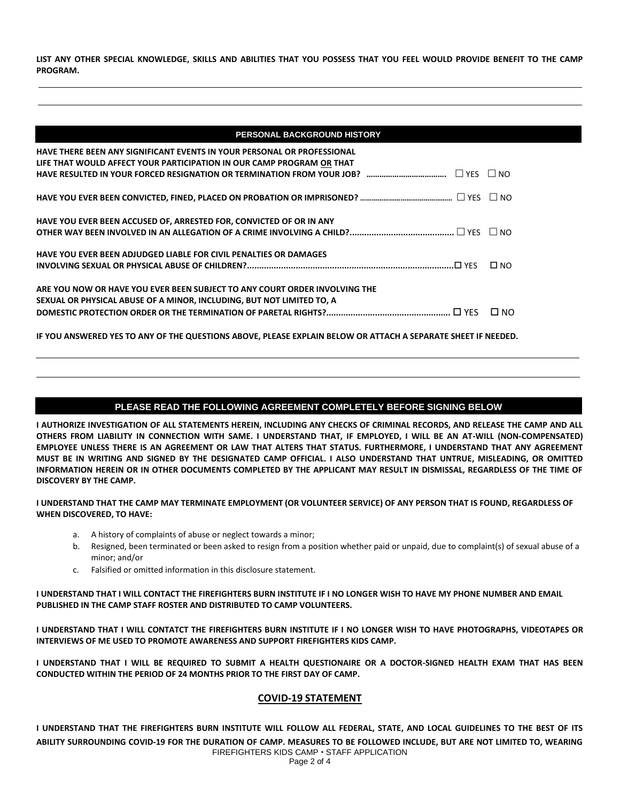**LIST ANY OTHER SPECIAL KNOWLEDGE, SKILLS AND ABILITIES THAT YOU POSSESS THAT YOU FEEL WOULD PROVIDE BENEFIT TO THE CAMP PROGRAM.**

| HAVE THERE BEEN ANY SIGNIFICANT EVENTS IN YOUR PERSONAL OR PROFESSIONAL    |           |
|----------------------------------------------------------------------------|-----------|
| LIFE THAT WOULD AFFECT YOUR PARTICIPATION IN OUR CAMP PROGRAM OR THAT      |           |
|                                                                            |           |
|                                                                            |           |
| HAVE YOU EVER BEEN ACCUSED OF, ARRESTED FOR, CONVICTED OF OR IN ANY        |           |
|                                                                            |           |
| HAVE YOU EVER BEEN ADJUDGED LIABLE FOR CIVIL PENALTIES OR DAMAGES          |           |
|                                                                            | $\Box$ NO |
| ARE YOU NOW OR HAVE YOU EVER BEEN SUBJECT TO ANY COURT ORDER INVOLVING THE |           |
| SEXUAL OR PHYSICAL ABUSE OF A MINOR, INCLUDING, BUT NOT LIMITED TO, A      |           |
|                                                                            |           |

**IF YOU ANSWERED YES TO ANY OF THE QUESTIONS ABOVE, PLEASE EXPLAIN BELOW OR ATTACH A SEPARATE SHEET IF NEEDED.**

#### **PLEASE READ THE FOLLOWING AGREEMENT COMPLETELY BEFORE SIGNING BELOW**

**I AUTHORIZE INVESTIGATION OF ALL STATEMENTS HEREIN, INCLUDING ANY CHECKS OF CRIMINAL RECORDS, AND RELEASE THE CAMP AND ALL OTHERS FROM LIABILITY IN CONNECTION WITH SAME. I UNDERSTAND THAT, IF EMPLOYED, I WILL BE AN AT-WILL (NON-COMPENSATED) EMPLOYEE UNLESS THERE IS AN AGREEMENT OR LAW THAT ALTERS THAT STATUS. FURTHERMORE, I UNDERSTAND THAT ANY AGREEMENT MUST BE IN WRITING AND SIGNED BY THE DESIGNATED CAMP OFFICIAL. I ALSO UNDERSTAND THAT UNTRUE, MISLEADING, OR OMITTED INFORMATION HEREIN OR IN OTHER DOCUMENTS COMPLETED BY THE APPLICANT MAY RESULT IN DISMISSAL, REGARDLESS OF THE TIME OF DISCOVERY BY THE CAMP.**

**I UNDERSTAND THAT THE CAMP MAY TERMINATE EMPLOYMENT (OR VOLUNTEER SERVICE) OF ANY PERSON THAT IS FOUND, REGARDLESS OF WHEN DISCOVERED, TO HAVE:**

- a. A history of complaints of abuse or neglect towards a minor;
- b. Resigned, been terminated or been asked to resign from a position whether paid or unpaid, due to complaint(s) of sexual abuse of a minor; and/or
- c. Falsified or omitted information in this disclosure statement.

**I UNDERSTAND THAT I WILL CONTACT THE FIREFIGHTERS BURN INSTITUTE IF I NO LONGER WISH TO HAVE MY PHONE NUMBER AND EMAIL PUBLISHED IN THE CAMP STAFF ROSTER AND DISTRIBUTED TO CAMP VOLUNTEERS.** 

**I UNDERSTAND THAT I WILL CONTATCT THE FIREFIGHTERS BURN INSTITUTE IF I NO LONGER WISH TO HAVE PHOTOGRAPHS, VIDEOTAPES OR INTERVIEWS OF ME USED TO PROMOTE AWARENESS AND SUPPORT FIREFIGHTERS KIDS CAMP.**

**I UNDERSTAND THAT I WILL BE REQUIRED TO SUBMIT A HEALTH QUESTIONAIRE OR A DOCTOR-SIGNED HEALTH EXAM THAT HAS BEEN CONDUCTED WITHIN THE PERIOD OF 24 MONTHS PRIOR TO THE FIRST DAY OF CAMP.**

#### **COVID-19 STATEMENT**

FIREFIGHTERS KIDS CAMP . STAFF APPLICATION **I UNDERSTAND THAT THE FIREFIGHTERS BURN INSTITUTE WILL FOLLOW ALL FEDERAL, STATE, AND LOCAL GUIDELINES TO THE BEST OF ITS ABILITY SURROUNDING COVID-19 FOR THE DURATION OF CAMP. MEASURES TO BE FOLLOWED INCLUDE, BUT ARE NOT LIMITED TO, WEARING**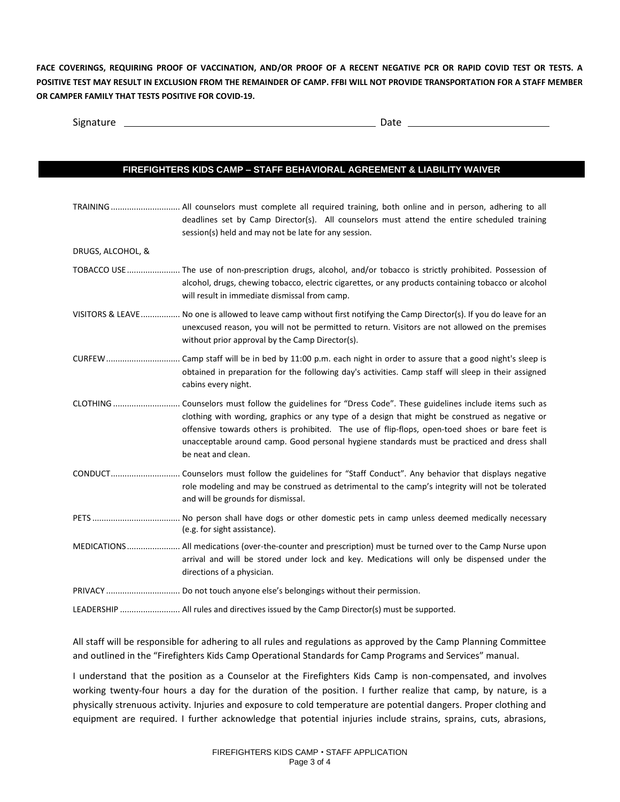**FACE COVERINGS, REQUIRING PROOF OF VACCINATION, AND/OR PROOF OF A RECENT NEGATIVE PCR OR RAPID COVID TEST OR TESTS. A POSITIVE TEST MAY RESULT IN EXCLUSION FROM THE REMAINDER OF CAMP. FFBI WILL NOT PROVIDE TRANSPORTATION FOR A STAFF MEMBER OR CAMPER FAMILY THAT TESTS POSITIVE FOR COVID-19.** 

| Signature | wuc |
|-----------|-----|
|           |     |

### **FIREFIGHTERS KIDS CAMP – STAFF BEHAVIORAL AGREEMENT & LIABILITY WAIVER**

|                   | TRAINING  All counselors must complete all required training, both online and in person, adhering to all<br>deadlines set by Camp Director(s). All counselors must attend the entire scheduled training<br>session(s) held and may not be late for any session.                                                       |
|-------------------|-----------------------------------------------------------------------------------------------------------------------------------------------------------------------------------------------------------------------------------------------------------------------------------------------------------------------|
| DRUGS, ALCOHOL, & |                                                                                                                                                                                                                                                                                                                       |
|                   | TOBACCO USE  The use of non-prescription drugs, alcohol, and/or tobacco is strictly prohibited. Possession of<br>alcohol, drugs, chewing tobacco, electric cigarettes, or any products containing tobacco or alcohol<br>will result in immediate dismissal from camp.                                                 |
|                   | VISITORS & LEAVE No one is allowed to leave camp without first notifying the Camp Director(s). If you do leave for an<br>unexcused reason, you will not be permitted to return. Visitors are not allowed on the premises<br>without prior approval by the Camp Director(s).                                           |
|                   | obtained in preparation for the following day's activities. Camp staff will sleep in their assigned<br>cabins every night.                                                                                                                                                                                            |
|                   | clothing with wording, graphics or any type of a design that might be construed as negative or<br>offensive towards others is prohibited. The use of flip-flops, open-toed shoes or bare feet is<br>unacceptable around camp. Good personal hygiene standards must be practiced and dress shall<br>be neat and clean. |
|                   | role modeling and may be construed as detrimental to the camp's integrity will not be tolerated<br>and will be grounds for dismissal.                                                                                                                                                                                 |
|                   | (e.g. for sight assistance).                                                                                                                                                                                                                                                                                          |
|                   | MEDICATIONS All medications (over-the-counter and prescription) must be turned over to the Camp Nurse upon<br>arrival and will be stored under lock and key. Medications will only be dispensed under the<br>directions of a physician.                                                                               |
|                   |                                                                                                                                                                                                                                                                                                                       |
|                   | LEADERSHIP  All rules and directives issued by the Camp Director(s) must be supported.                                                                                                                                                                                                                                |

All staff will be responsible for adhering to all rules and regulations as approved by the Camp Planning Committee and outlined in the "Firefighters Kids Camp Operational Standards for Camp Programs and Services" manual.

I understand that the position as a Counselor at the Firefighters Kids Camp is non-compensated, and involves working twenty-four hours a day for the duration of the position. I further realize that camp, by nature, is a physically strenuous activity. Injuries and exposure to cold temperature are potential dangers. Proper clothing and equipment are required. I further acknowledge that potential injuries include strains, sprains, cuts, abrasions,